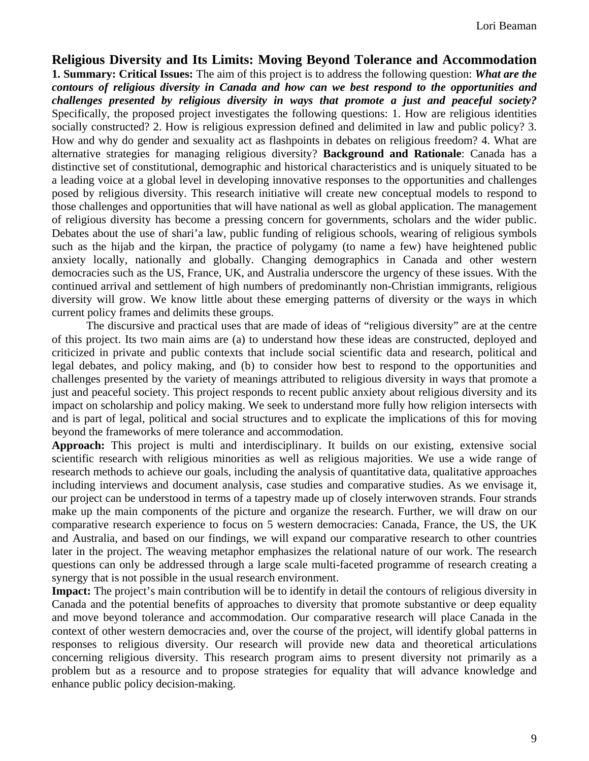**Religious Diversity and Its Limits: Moving Beyond Tolerance and Accommodation 1. Summary: Critical Issues:** The aim of this project is to address the following question: *What are the contours of religious diversity in Canada and how can we best respond to the opportunities and challenges presented by religious diversity in ways that promote a just and peaceful society?*  Specifically, the proposed project investigates the following questions: 1. How are religious identities socially constructed? 2. How is religious expression defined and delimited in law and public policy? 3. How and why do gender and sexuality act as flashpoints in debates on religious freedom? 4. What are alternative strategies for managing religious diversity? **Background and Rationale**: Canada has a distinctive set of constitutional, demographic and historical characteristics and is uniquely situated to be a leading voice at a global level in developing innovative responses to the opportunities and challenges posed by religious diversity. This research initiative will create new conceptual models to respond to those challenges and opportunities that will have national as well as global application. The management of religious diversity has become a pressing concern for governments, scholars and the wider public. Debates about the use of shari'a law, public funding of religious schools, wearing of religious symbols such as the hijab and the kirpan, the practice of polygamy (to name a few) have heightened public anxiety locally, nationally and globally. Changing demographics in Canada and other western democracies such as the US, France, UK, and Australia underscore the urgency of these issues. With the continued arrival and settlement of high numbers of predominantly non-Christian immigrants, religious diversity will grow. We know little about these emerging patterns of diversity or the ways in which current policy frames and delimits these groups.

The discursive and practical uses that are made of ideas of "religious diversity" are at the centre of this project. Its two main aims are (a) to understand how these ideas are constructed, deployed and criticized in private and public contexts that include social scientific data and research, political and legal debates, and policy making, and (b) to consider how best to respond to the opportunities and challenges presented by the variety of meanings attributed to religious diversity in ways that promote a just and peaceful society. This project responds to recent public anxiety about religious diversity and its impact on scholarship and policy making. We seek to understand more fully how religion intersects with and is part of legal, political and social structures and to explicate the implications of this for moving beyond the frameworks of mere tolerance and accommodation.

**Approach:** This project is multi and interdisciplinary. It builds on our existing, extensive social scientific research with religious minorities as well as religious majorities. We use a wide range of research methods to achieve our goals, including the analysis of quantitative data, qualitative approaches including interviews and document analysis, case studies and comparative studies. As we envisage it, our project can be understood in terms of a tapestry made up of closely interwoven strands. Four strands make up the main components of the picture and organize the research. Further, we will draw on our comparative research experience to focus on 5 western democracies: Canada, France, the US, the UK and Australia, and based on our findings, we will expand our comparative research to other countries later in the project. The weaving metaphor emphasizes the relational nature of our work. The research questions can only be addressed through a large scale multi-faceted programme of research creating a synergy that is not possible in the usual research environment.

**Impact:** The project's main contribution will be to identify in detail the contours of religious diversity in Canada and the potential benefits of approaches to diversity that promote substantive or deep equality and move beyond tolerance and accommodation. Our comparative research will place Canada in the context of other western democracies and, over the course of the project, will identify global patterns in responses to religious diversity. Our research will provide new data and theoretical articulations concerning religious diversity. This research program aims to present diversity not primarily as a problem but as a resource and to propose strategies for equality that will advance knowledge and enhance public policy decision-making.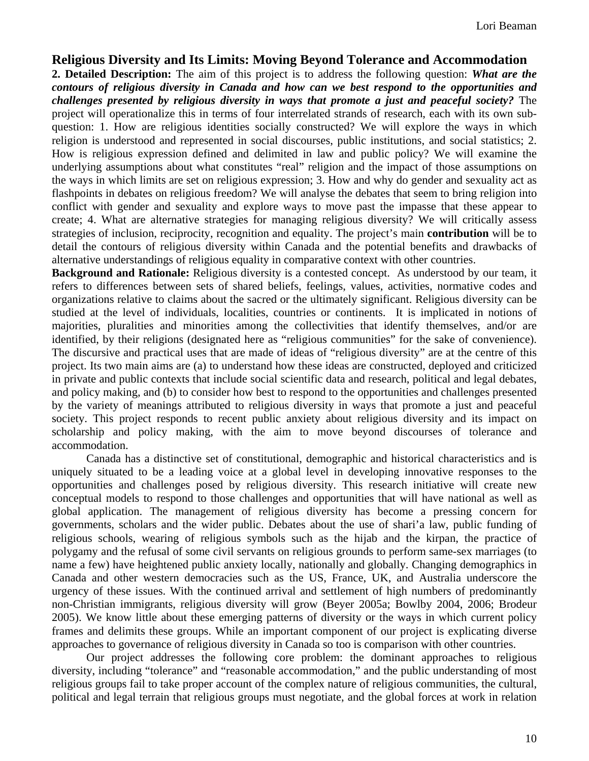# **Religious Diversity and Its Limits: Moving Beyond Tolerance and Accommodation**

**2. Detailed Description:** The aim of this project is to address the following question: *What are the contours of religious diversity in Canada and how can we best respond to the opportunities and challenges presented by religious diversity in ways that promote a just and peaceful society?* The project will operationalize this in terms of four interrelated strands of research, each with its own subquestion: 1. How are religious identities socially constructed? We will explore the ways in which religion is understood and represented in social discourses, public institutions, and social statistics; 2. How is religious expression defined and delimited in law and public policy? We will examine the underlying assumptions about what constitutes "real" religion and the impact of those assumptions on the ways in which limits are set on religious expression; 3. How and why do gender and sexuality act as flashpoints in debates on religious freedom? We will analyse the debates that seem to bring religion into conflict with gender and sexuality and explore ways to move past the impasse that these appear to create; 4. What are alternative strategies for managing religious diversity? We will critically assess strategies of inclusion, reciprocity, recognition and equality. The project's main **contribution** will be to detail the contours of religious diversity within Canada and the potential benefits and drawbacks of alternative understandings of religious equality in comparative context with other countries.

**Background and Rationale:** Religious diversity is a contested concept. As understood by our team, it refers to differences between sets of shared beliefs, feelings, values, activities, normative codes and organizations relative to claims about the sacred or the ultimately significant. Religious diversity can be studied at the level of individuals, localities, countries or continents. It is implicated in notions of majorities, pluralities and minorities among the collectivities that identify themselves, and/or are identified, by their religions (designated here as "religious communities" for the sake of convenience). The discursive and practical uses that are made of ideas of "religious diversity" are at the centre of this project. Its two main aims are (a) to understand how these ideas are constructed, deployed and criticized in private and public contexts that include social scientific data and research, political and legal debates, and policy making, and (b) to consider how best to respond to the opportunities and challenges presented by the variety of meanings attributed to religious diversity in ways that promote a just and peaceful society. This project responds to recent public anxiety about religious diversity and its impact on scholarship and policy making, with the aim to move beyond discourses of tolerance and accommodation.

Canada has a distinctive set of constitutional, demographic and historical characteristics and is uniquely situated to be a leading voice at a global level in developing innovative responses to the opportunities and challenges posed by religious diversity. This research initiative will create new conceptual models to respond to those challenges and opportunities that will have national as well as global application. The management of religious diversity has become a pressing concern for governments, scholars and the wider public. Debates about the use of shari'a law, public funding of religious schools, wearing of religious symbols such as the hijab and the kirpan, the practice of polygamy and the refusal of some civil servants on religious grounds to perform same-sex marriages (to name a few) have heightened public anxiety locally, nationally and globally. Changing demographics in Canada and other western democracies such as the US, France, UK, and Australia underscore the urgency of these issues. With the continued arrival and settlement of high numbers of predominantly non-Christian immigrants, religious diversity will grow (Beyer 2005a; Bowlby 2004, 2006; Brodeur 2005). We know little about these emerging patterns of diversity or the ways in which current policy frames and delimits these groups. While an important component of our project is explicating diverse approaches to governance of religious diversity in Canada so too is comparison with other countries.

Our project addresses the following core problem: the dominant approaches to religious diversity, including "tolerance" and "reasonable accommodation," and the public understanding of most religious groups fail to take proper account of the complex nature of religious communities, the cultural, political and legal terrain that religious groups must negotiate, and the global forces at work in relation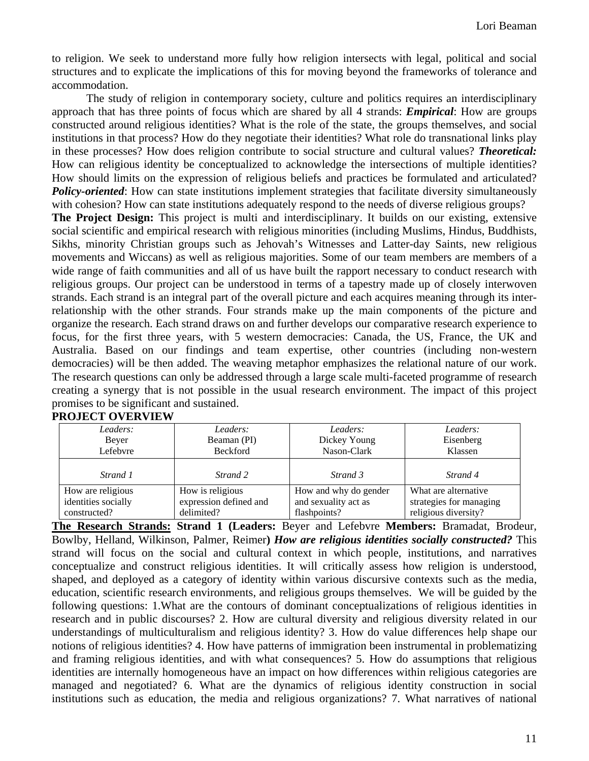to religion. We seek to understand more fully how religion intersects with legal, political and social structures and to explicate the implications of this for moving beyond the frameworks of tolerance and accommodation.

 The study of religion in contemporary society, culture and politics requires an interdisciplinary approach that has three points of focus which are shared by all 4 strands: *Empirical*: How are groups constructed around religious identities? What is the role of the state, the groups themselves, and social institutions in that process? How do they negotiate their identities? What role do transnational links play in these processes? How does religion contribute to social structure and cultural values? *Theoretical:* How can religious identity be conceptualized to acknowledge the intersections of multiple identities? How should limits on the expression of religious beliefs and practices be formulated and articulated? *Policy-oriented*: How can state institutions implement strategies that facilitate diversity simultaneously with cohesion? How can state institutions adequately respond to the needs of diverse religious groups?

**The Project Design:** This project is multi and interdisciplinary. It builds on our existing, extensive social scientific and empirical research with religious minorities (including Muslims, Hindus, Buddhists, Sikhs, minority Christian groups such as Jehovah's Witnesses and Latter-day Saints, new religious movements and Wiccans) as well as religious majorities. Some of our team members are members of a wide range of faith communities and all of us have built the rapport necessary to conduct research with religious groups. Our project can be understood in terms of a tapestry made up of closely interwoven strands. Each strand is an integral part of the overall picture and each acquires meaning through its interrelationship with the other strands. Four strands make up the main components of the picture and organize the research. Each strand draws on and further develops our comparative research experience to focus, for the first three years, with 5 western democracies: Canada, the US, France, the UK and Australia. Based on our findings and team expertise, other countries (including non-western democracies) will be then added. The weaving metaphor emphasizes the relational nature of our work. The research questions can only be addressed through a large scale multi-faceted programme of research creating a synergy that is not possible in the usual research environment. The impact of this project promises to be significant and sustained.

| Leaders:            | Leaders:               | Leaders:                  | Leaders:                |
|---------------------|------------------------|---------------------------|-------------------------|
| Bever               | Beaman (PI)            | Eisenberg<br>Dickey Young |                         |
| Lefebvre            | <b>Beckford</b>        | Nason-Clark               | Klassen                 |
|                     |                        |                           |                         |
| Strand 1            | Strand 2               | Strand 3                  | Strand 4                |
| How are religious   | How is religious       | How and why do gender     | What are alternative    |
| identities socially | expression defined and | and sexuality act as      | strategies for managing |
| constructed?        | delimited?             | flashpoints?              | religious diversity?    |

**PROJECT OVERVIEW** 

**The Research Strands: Strand 1 (Leaders:** Beyer and Lefebvre **Members:** Bramadat, Brodeur, Bowlby, Helland, Wilkinson, Palmer, Reimer**)** *How are religious identities socially constructed?* This strand will focus on the social and cultural context in which people, institutions, and narratives conceptualize and construct religious identities. It will critically assess how religion is understood, shaped, and deployed as a category of identity within various discursive contexts such as the media, education, scientific research environments, and religious groups themselves. We will be guided by the following questions: 1.What are the contours of dominant conceptualizations of religious identities in research and in public discourses? 2. How are cultural diversity and religious diversity related in our understandings of multiculturalism and religious identity? 3. How do value differences help shape our notions of religious identities? 4. How have patterns of immigration been instrumental in problematizing and framing religious identities, and with what consequences? 5. How do assumptions that religious identities are internally homogeneous have an impact on how differences within religious categories are managed and negotiated? 6. What are the dynamics of religious identity construction in social institutions such as education, the media and religious organizations? 7. What narratives of national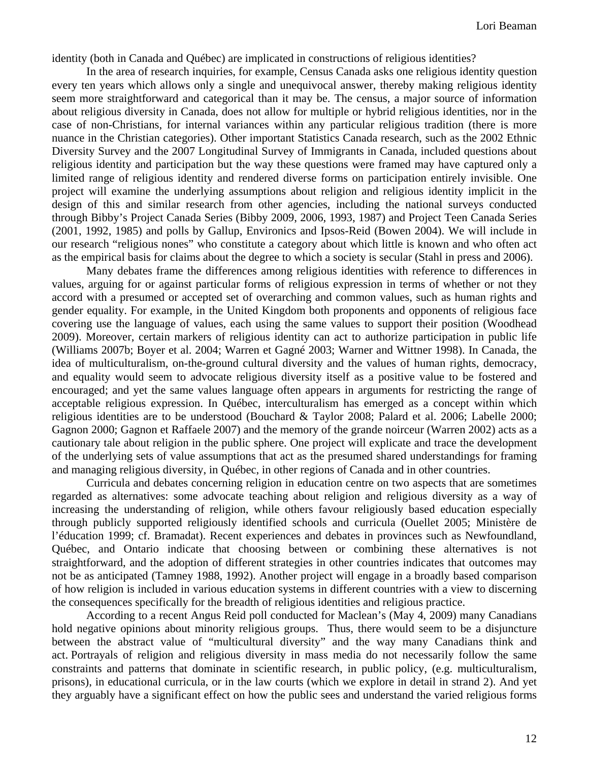identity (both in Canada and Québec) are implicated in constructions of religious identities?

 In the area of research inquiries, for example, Census Canada asks one religious identity question every ten years which allows only a single and unequivocal answer, thereby making religious identity seem more straightforward and categorical than it may be. The census, a major source of information about religious diversity in Canada, does not allow for multiple or hybrid religious identities, nor in the case of non-Christians, for internal variances within any particular religious tradition (there is more nuance in the Christian categories). Other important Statistics Canada research, such as the 2002 Ethnic Diversity Survey and the 2007 Longitudinal Survey of Immigrants in Canada, included questions about religious identity and participation but the way these questions were framed may have captured only a limited range of religious identity and rendered diverse forms on participation entirely invisible. One project will examine the underlying assumptions about religion and religious identity implicit in the design of this and similar research from other agencies, including the national surveys conducted through Bibby's Project Canada Series (Bibby 2009, 2006, 1993, 1987) and Project Teen Canada Series (2001, 1992, 1985) and polls by Gallup, Environics and Ipsos-Reid (Bowen 2004). We will include in our research "religious nones" who constitute a category about which little is known and who often act as the empirical basis for claims about the degree to which a society is secular (Stahl in press and 2006).

 Many debates frame the differences among religious identities with reference to differences in values, arguing for or against particular forms of religious expression in terms of whether or not they accord with a presumed or accepted set of overarching and common values, such as human rights and gender equality. For example, in the United Kingdom both proponents and opponents of religious face covering use the language of values, each using the same values to support their position (Woodhead 2009). Moreover, certain markers of religious identity can act to authorize participation in public life (Williams 2007b; Boyer et al. 2004; Warren et Gagné 2003; Warner and Wittner 1998). In Canada, the idea of multiculturalism, on-the-ground cultural diversity and the values of human rights, democracy, and equality would seem to advocate religious diversity itself as a positive value to be fostered and encouraged; and yet the same values language often appears in arguments for restricting the range of acceptable religious expression. In Québec, interculturalism has emerged as a concept within which religious identities are to be understood (Bouchard & Taylor 2008; Palard et al. 2006; Labelle 2000; Gagnon 2000; Gagnon et Raffaele 2007) and the memory of the grande noirceur (Warren 2002) acts as a cautionary tale about religion in the public sphere. One project will explicate and trace the development of the underlying sets of value assumptions that act as the presumed shared understandings for framing and managing religious diversity, in Québec, in other regions of Canada and in other countries.

 Curricula and debates concerning religion in education centre on two aspects that are sometimes regarded as alternatives: some advocate teaching about religion and religious diversity as a way of increasing the understanding of religion, while others favour religiously based education especially through publicly supported religiously identified schools and curricula (Ouellet 2005; Ministère de l'éducation 1999; cf. Bramadat). Recent experiences and debates in provinces such as Newfoundland, Québec, and Ontario indicate that choosing between or combining these alternatives is not straightforward, and the adoption of different strategies in other countries indicates that outcomes may not be as anticipated (Tamney 1988, 1992). Another project will engage in a broadly based comparison of how religion is included in various education systems in different countries with a view to discerning the consequences specifically for the breadth of religious identities and religious practice.

According to a recent Angus Reid poll conducted for Maclean's (May 4, 2009) many Canadians hold negative opinions about minority religious groups. Thus, there would seem to be a disjuncture between the abstract value of "multicultural diversity" and the way many Canadians think and act. Portrayals of religion and religious diversity in mass media do not necessarily follow the same constraints and patterns that dominate in scientific research, in public policy, (e.g. multiculturalism, prisons), in educational curricula, or in the law courts (which we explore in detail in strand 2). And yet they arguably have a significant effect on how the public sees and understand the varied religious forms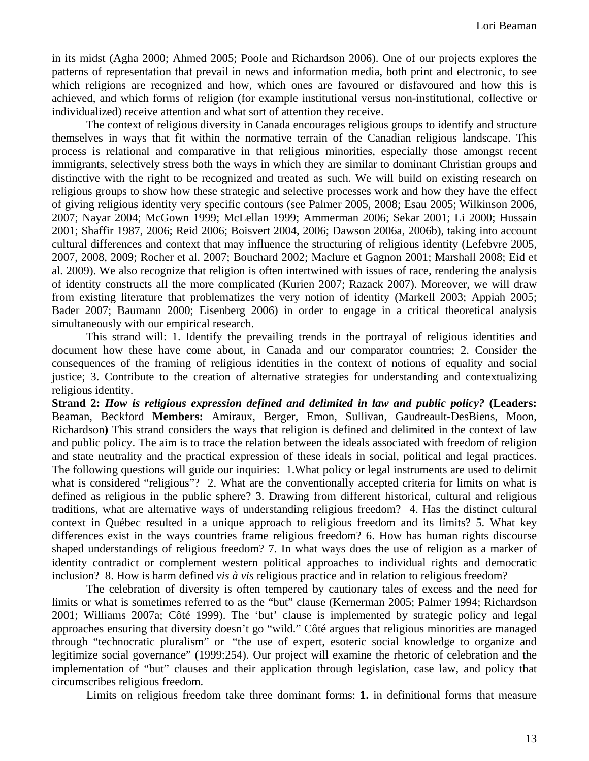in its midst (Agha 2000; Ahmed 2005; Poole and Richardson 2006). One of our projects explores the patterns of representation that prevail in news and information media, both print and electronic, to see which religions are recognized and how, which ones are favoured or disfavoured and how this is achieved, and which forms of religion (for example institutional versus non-institutional, collective or individualized) receive attention and what sort of attention they receive.

The context of religious diversity in Canada encourages religious groups to identify and structure themselves in ways that fit within the normative terrain of the Canadian religious landscape. This process is relational and comparative in that religious minorities, especially those amongst recent immigrants, selectively stress both the ways in which they are similar to dominant Christian groups and distinctive with the right to be recognized and treated as such. We will build on existing research on religious groups to show how these strategic and selective processes work and how they have the effect of giving religious identity very specific contours (see Palmer 2005, 2008; Esau 2005; Wilkinson 2006, 2007; Nayar 2004; McGown 1999; McLellan 1999; Ammerman 2006; Sekar 2001; Li 2000; Hussain 2001; Shaffir 1987, 2006; Reid 2006; Boisvert 2004, 2006; Dawson 2006a, 2006b), taking into account cultural differences and context that may influence the structuring of religious identity (Lefebvre 2005, 2007, 2008, 2009; Rocher et al. 2007; Bouchard 2002; Maclure et Gagnon 2001; Marshall 2008; Eid et al. 2009). We also recognize that religion is often intertwined with issues of race, rendering the analysis of identity constructs all the more complicated (Kurien 2007; Razack 2007). Moreover, we will draw from existing literature that problematizes the very notion of identity (Markell 2003; Appiah 2005; Bader 2007; Baumann 2000; Eisenberg 2006) in order to engage in a critical theoretical analysis simultaneously with our empirical research.

 This strand will: 1. Identify the prevailing trends in the portrayal of religious identities and document how these have come about, in Canada and our comparator countries; 2. Consider the consequences of the framing of religious identities in the context of notions of equality and social justice; 3. Contribute to the creation of alternative strategies for understanding and contextualizing religious identity.

**Strand 2:** *How is religious expression defined and delimited in law and public policy?* **(Leaders:**  Beaman, Beckford **Members:** Amiraux, Berger, Emon, Sullivan, Gaudreault-DesBiens, Moon, Richardson**)** This strand considers the ways that religion is defined and delimited in the context of law and public policy. The aim is to trace the relation between the ideals associated with freedom of religion and state neutrality and the practical expression of these ideals in social, political and legal practices. The following questions will guide our inquiries: 1.What policy or legal instruments are used to delimit what is considered "religious"? 2. What are the conventionally accepted criteria for limits on what is defined as religious in the public sphere? 3. Drawing from different historical, cultural and religious traditions, what are alternative ways of understanding religious freedom? 4. Has the distinct cultural context in Québec resulted in a unique approach to religious freedom and its limits? 5. What key differences exist in the ways countries frame religious freedom? 6. How has human rights discourse shaped understandings of religious freedom? 7. In what ways does the use of religion as a marker of identity contradict or complement western political approaches to individual rights and democratic inclusion? 8. How is harm defined *vis à vis* religious practice and in relation to religious freedom?

 The celebration of diversity is often tempered by cautionary tales of excess and the need for limits or what is sometimes referred to as the "but" clause (Kernerman 2005; Palmer 1994; Richardson 2001; Williams 2007a; Côté 1999). The 'but' clause is implemented by strategic policy and legal approaches ensuring that diversity doesn't go "wild." Côté argues that religious minorities are managed through "technocratic pluralism" or "the use of expert, esoteric social knowledge to organize and legitimize social governance" (1999:254). Our project will examine the rhetoric of celebration and the implementation of "but" clauses and their application through legislation, case law, and policy that circumscribes religious freedom.

Limits on religious freedom take three dominant forms: **1.** in definitional forms that measure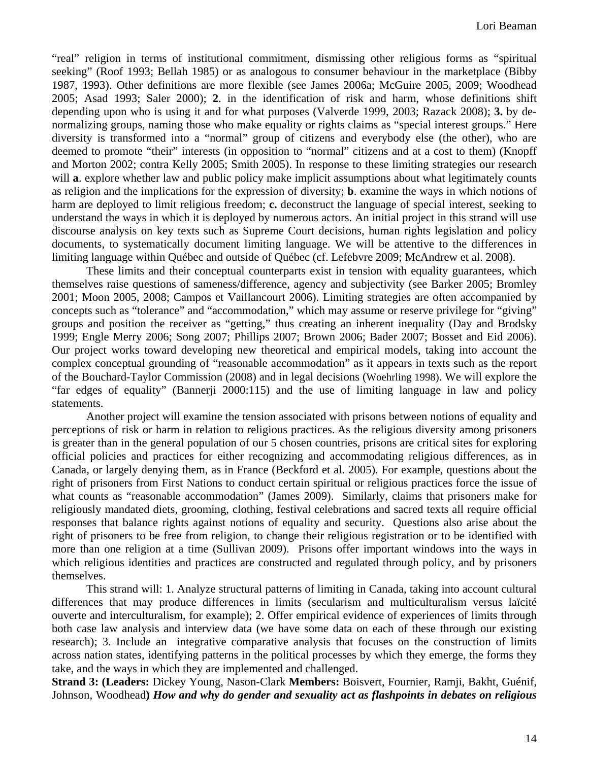"real" religion in terms of institutional commitment, dismissing other religious forms as "spiritual seeking" (Roof 1993; Bellah 1985) or as analogous to consumer behaviour in the marketplace (Bibby 1987, 1993). Other definitions are more flexible (see James 2006a; McGuire 2005, 2009; Woodhead 2005; Asad 1993; Saler 2000); **2**. in the identification of risk and harm, whose definitions shift depending upon who is using it and for what purposes (Valverde 1999, 2003; Razack 2008); **3.** by denormalizing groups, naming those who make equality or rights claims as "special interest groups." Here diversity is transformed into a "normal" group of citizens and everybody else (the other), who are deemed to promote "their" interests (in opposition to "normal" citizens and at a cost to them) (Knopff and Morton 2002; contra Kelly 2005; Smith 2005). In response to these limiting strategies our research will **a**. explore whether law and public policy make implicit assumptions about what legitimately counts as religion and the implications for the expression of diversity; **b**. examine the ways in which notions of harm are deployed to limit religious freedom; **c.** deconstruct the language of special interest, seeking to understand the ways in which it is deployed by numerous actors. An initial project in this strand will use discourse analysis on key texts such as Supreme Court decisions, human rights legislation and policy documents, to systematically document limiting language. We will be attentive to the differences in limiting language within Québec and outside of Québec (cf. Lefebvre 2009; McAndrew et al. 2008).

 These limits and their conceptual counterparts exist in tension with equality guarantees, which themselves raise questions of sameness/difference, agency and subjectivity (see Barker 2005; Bromley 2001; Moon 2005, 2008; Campos et Vaillancourt 2006). Limiting strategies are often accompanied by concepts such as "tolerance" and "accommodation," which may assume or reserve privilege for "giving" groups and position the receiver as "getting," thus creating an inherent inequality (Day and Brodsky 1999; Engle Merry 2006; Song 2007; Phillips 2007; Brown 2006; Bader 2007; Bosset and Eid 2006). Our project works toward developing new theoretical and empirical models, taking into account the complex conceptual grounding of "reasonable accommodation" as it appears in texts such as the report of the Bouchard-Taylor Commission (2008) and in legal decisions (Woehrling 1998). We will explore the "far edges of equality" (Bannerji 2000:115) and the use of limiting language in law and policy statements.

Another project will examine the tension associated with prisons between notions of equality and perceptions of risk or harm in relation to religious practices. As the religious diversity among prisoners is greater than in the general population of our 5 chosen countries, prisons are critical sites for exploring official policies and practices for either recognizing and accommodating religious differences, as in Canada, or largely denying them, as in France (Beckford et al. 2005). For example, questions about the right of prisoners from First Nations to conduct certain spiritual or religious practices force the issue of what counts as "reasonable accommodation" (James 2009). Similarly, claims that prisoners make for religiously mandated diets, grooming, clothing, festival celebrations and sacred texts all require official responses that balance rights against notions of equality and security. Questions also arise about the right of prisoners to be free from religion, to change their religious registration or to be identified with more than one religion at a time (Sullivan 2009). Prisons offer important windows into the ways in which religious identities and practices are constructed and regulated through policy, and by prisoners themselves.

 This strand will: 1. Analyze structural patterns of limiting in Canada, taking into account cultural differences that may produce differences in limits (secularism and multiculturalism versus laïcité ouverte and interculturalism, for example); 2. Offer empirical evidence of experiences of limits through both case law analysis and interview data (we have some data on each of these through our existing research); 3. Include an integrative comparative analysis that focuses on the construction of limits across nation states, identifying patterns in the political processes by which they emerge, the forms they take, and the ways in which they are implemented and challenged.

**Strand 3: (Leaders:** Dickey Young, Nason-Clark **Members:** Boisvert, Fournier, Ramji, Bakht, Guénif, Johnson, Woodhead**)** *How and why do gender and sexuality act as flashpoints in debates on religious*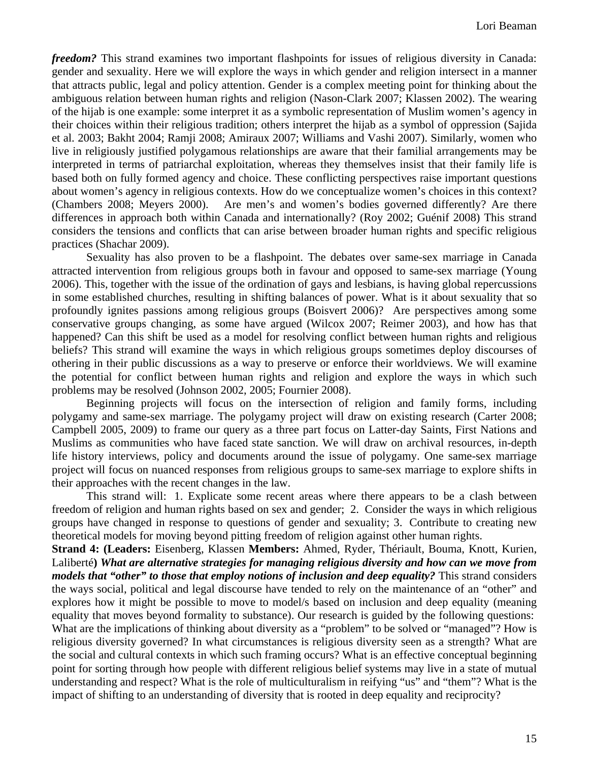*freedom?* This strand examines two important flashpoints for issues of religious diversity in Canada: gender and sexuality. Here we will explore the ways in which gender and religion intersect in a manner that attracts public, legal and policy attention. Gender is a complex meeting point for thinking about the ambiguous relation between human rights and religion (Nason-Clark 2007; Klassen 2002). The wearing of the hijab is one example: some interpret it as a symbolic representation of Muslim women's agency in their choices within their religious tradition; others interpret the hijab as a symbol of oppression (Sajida et al. 2003; Bakht 2004; Ramji 2008; Amiraux 2007; Williams and Vashi 2007). Similarly, women who live in religiously justified polygamous relationships are aware that their familial arrangements may be interpreted in terms of patriarchal exploitation, whereas they themselves insist that their family life is based both on fully formed agency and choice. These conflicting perspectives raise important questions about women's agency in religious contexts. How do we conceptualize women's choices in this context? (Chambers 2008; Meyers 2000). Are men's and women's bodies governed differently? Are there differences in approach both within Canada and internationally? (Roy 2002; Guénif 2008) This strand considers the tensions and conflicts that can arise between broader human rights and specific religious practices (Shachar 2009).

Sexuality has also proven to be a flashpoint. The debates over same-sex marriage in Canada attracted intervention from religious groups both in favour and opposed to same-sex marriage (Young 2006). This, together with the issue of the ordination of gays and lesbians, is having global repercussions in some established churches, resulting in shifting balances of power. What is it about sexuality that so profoundly ignites passions among religious groups (Boisvert 2006)? Are perspectives among some conservative groups changing, as some have argued (Wilcox 2007; Reimer 2003), and how has that happened? Can this shift be used as a model for resolving conflict between human rights and religious beliefs? This strand will examine the ways in which religious groups sometimes deploy discourses of othering in their public discussions as a way to preserve or enforce their worldviews. We will examine the potential for conflict between human rights and religion and explore the ways in which such problems may be resolved (Johnson 2002, 2005; Fournier 2008).

 Beginning projects will focus on the intersection of religion and family forms, including polygamy and same-sex marriage. The polygamy project will draw on existing research (Carter 2008; Campbell 2005, 2009) to frame our query as a three part focus on Latter-day Saints, First Nations and Muslims as communities who have faced state sanction. We will draw on archival resources, in-depth life history interviews, policy and documents around the issue of polygamy. One same-sex marriage project will focus on nuanced responses from religious groups to same-sex marriage to explore shifts in their approaches with the recent changes in the law.

 This strand will: 1. Explicate some recent areas where there appears to be a clash between freedom of religion and human rights based on sex and gender; 2. Consider the ways in which religious groups have changed in response to questions of gender and sexuality; 3. Contribute to creating new theoretical models for moving beyond pitting freedom of religion against other human rights.

**Strand 4: (Leaders:** Eisenberg, Klassen **Members:** Ahmed, Ryder, Thériault, Bouma, Knott, Kurien, Laliberté**)** *What are alternative strategies for managing religious diversity and how can we move from models that "other" to those that employ notions of inclusion and deep equality?* This strand considers the ways social, political and legal discourse have tended to rely on the maintenance of an "other" and explores how it might be possible to move to model/s based on inclusion and deep equality (meaning equality that moves beyond formality to substance). Our research is guided by the following questions: What are the implications of thinking about diversity as a "problem" to be solved or "managed"? How is religious diversity governed? In what circumstances is religious diversity seen as a strength? What are the social and cultural contexts in which such framing occurs? What is an effective conceptual beginning point for sorting through how people with different religious belief systems may live in a state of mutual understanding and respect? What is the role of multiculturalism in reifying "us" and "them"? What is the impact of shifting to an understanding of diversity that is rooted in deep equality and reciprocity?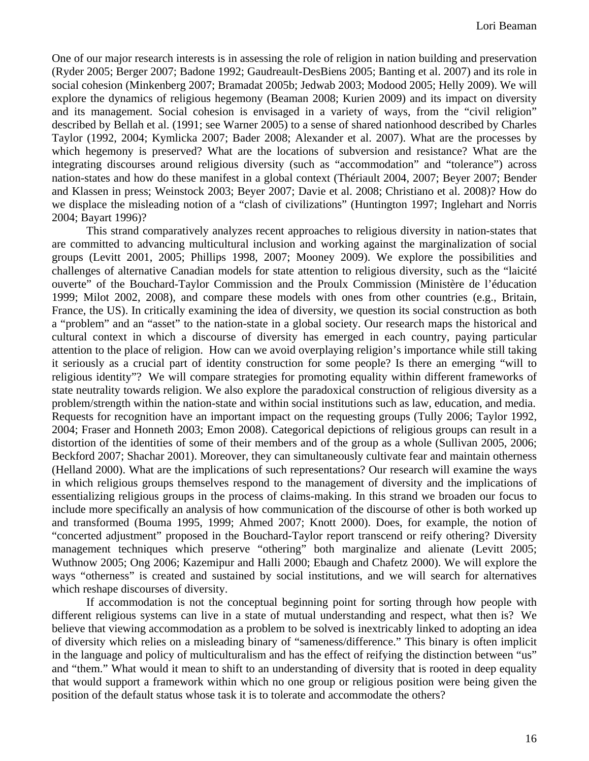One of our major research interests is in assessing the role of religion in nation building and preservation (Ryder 2005; Berger 2007; Badone 1992; Gaudreault-DesBiens 2005; Banting et al. 2007) and its role in social cohesion (Minkenberg 2007; Bramadat 2005b; Jedwab 2003; Modood 2005; Helly 2009). We will explore the dynamics of religious hegemony (Beaman 2008; Kurien 2009) and its impact on diversity and its management. Social cohesion is envisaged in a variety of ways, from the "civil religion" described by Bellah et al. (1991; see Warner 2005) to a sense of shared nationhood described by Charles Taylor (1992, 2004; Kymlicka 2007; Bader 2008; Alexander et al. 2007). What are the processes by which hegemony is preserved? What are the locations of subversion and resistance? What are the integrating discourses around religious diversity (such as "accommodation" and "tolerance") across nation-states and how do these manifest in a global context (Thériault 2004, 2007; Beyer 2007; Bender and Klassen in press; Weinstock 2003; Beyer 2007; Davie et al. 2008; Christiano et al. 2008)? How do we displace the misleading notion of a "clash of civilizations" (Huntington 1997; Inglehart and Norris 2004; Bayart 1996)?

This strand comparatively analyzes recent approaches to religious diversity in nation-states that are committed to advancing multicultural inclusion and working against the marginalization of social groups (Levitt 2001, 2005; Phillips 1998, 2007; Mooney 2009). We explore the possibilities and challenges of alternative Canadian models for state attention to religious diversity, such as the "laicité ouverte" of the Bouchard-Taylor Commission and the Proulx Commission (Ministère de l'éducation 1999; Milot 2002, 2008), and compare these models with ones from other countries (e.g., Britain, France, the US). In critically examining the idea of diversity, we question its social construction as both a "problem" and an "asset" to the nation-state in a global society. Our research maps the historical and cultural context in which a discourse of diversity has emerged in each country, paying particular attention to the place of religion. How can we avoid overplaying religion's importance while still taking it seriously as a crucial part of identity construction for some people? Is there an emerging "will to religious identity"? We will compare strategies for promoting equality within different frameworks of state neutrality towards religion. We also explore the paradoxical construction of religious diversity as a problem/strength within the nation-state and within social institutions such as law, education, and media. Requests for recognition have an important impact on the requesting groups (Tully 2006; Taylor 1992, 2004; Fraser and Honneth 2003; Emon 2008). Categorical depictions of religious groups can result in a distortion of the identities of some of their members and of the group as a whole (Sullivan 2005, 2006; Beckford 2007; Shachar 2001). Moreover, they can simultaneously cultivate fear and maintain otherness (Helland 2000). What are the implications of such representations? Our research will examine the ways in which religious groups themselves respond to the management of diversity and the implications of essentializing religious groups in the process of claims-making. In this strand we broaden our focus to include more specifically an analysis of how communication of the discourse of other is both worked up and transformed (Bouma 1995, 1999; Ahmed 2007; Knott 2000). Does, for example, the notion of "concerted adjustment" proposed in the Bouchard-Taylor report transcend or reify othering? Diversity management techniques which preserve "othering" both marginalize and alienate (Levitt 2005; Wuthnow 2005; Ong 2006; Kazemipur and Halli 2000; Ebaugh and Chafetz 2000). We will explore the ways "otherness" is created and sustained by social institutions, and we will search for alternatives which reshape discourses of diversity.

If accommodation is not the conceptual beginning point for sorting through how people with different religious systems can live in a state of mutual understanding and respect, what then is? We believe that viewing accommodation as a problem to be solved is inextricably linked to adopting an idea of diversity which relies on a misleading binary of "sameness/difference." This binary is often implicit in the language and policy of multiculturalism and has the effect of reifying the distinction between "us" and "them." What would it mean to shift to an understanding of diversity that is rooted in deep equality that would support a framework within which no one group or religious position were being given the position of the default status whose task it is to tolerate and accommodate the others?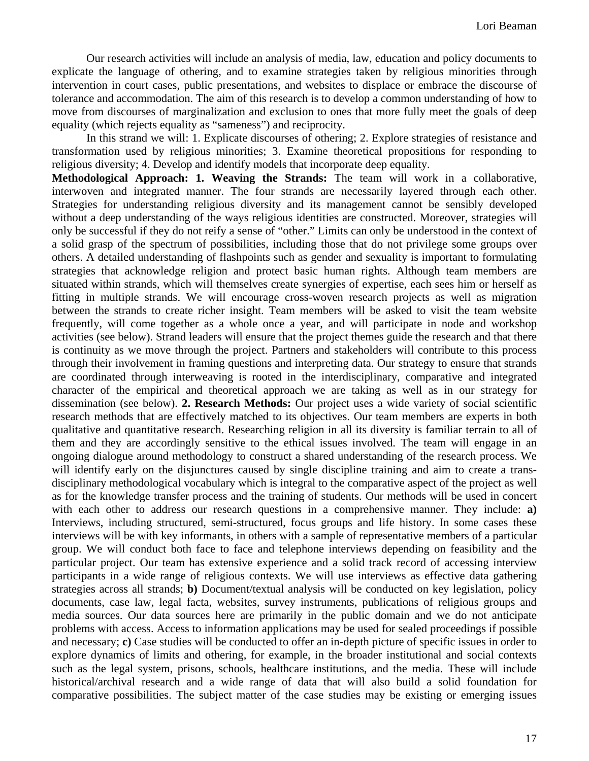Our research activities will include an analysis of media, law, education and policy documents to explicate the language of othering, and to examine strategies taken by religious minorities through intervention in court cases, public presentations, and websites to displace or embrace the discourse of tolerance and accommodation. The aim of this research is to develop a common understanding of how to move from discourses of marginalization and exclusion to ones that more fully meet the goals of deep equality (which rejects equality as "sameness") and reciprocity.

In this strand we will: 1. Explicate discourses of othering; 2. Explore strategies of resistance and transformation used by religious minorities; 3. Examine theoretical propositions for responding to religious diversity; 4. Develop and identify models that incorporate deep equality.

**Methodological Approach: 1. Weaving the Strands:** The team will work in a collaborative, interwoven and integrated manner. The four strands are necessarily layered through each other. Strategies for understanding religious diversity and its management cannot be sensibly developed without a deep understanding of the ways religious identities are constructed. Moreover, strategies will only be successful if they do not reify a sense of "other." Limits can only be understood in the context of a solid grasp of the spectrum of possibilities, including those that do not privilege some groups over others. A detailed understanding of flashpoints such as gender and sexuality is important to formulating strategies that acknowledge religion and protect basic human rights. Although team members are situated within strands, which will themselves create synergies of expertise, each sees him or herself as fitting in multiple strands. We will encourage cross-woven research projects as well as migration between the strands to create richer insight. Team members will be asked to visit the team website frequently, will come together as a whole once a year, and will participate in node and workshop activities (see below). Strand leaders will ensure that the project themes guide the research and that there is continuity as we move through the project. Partners and stakeholders will contribute to this process through their involvement in framing questions and interpreting data. Our strategy to ensure that strands are coordinated through interweaving is rooted in the interdisciplinary, comparative and integrated character of the empirical and theoretical approach we are taking as well as in our strategy for dissemination (see below). **2. Research Methods:** Our project uses a wide variety of social scientific research methods that are effectively matched to its objectives. Our team members are experts in both qualitative and quantitative research. Researching religion in all its diversity is familiar terrain to all of them and they are accordingly sensitive to the ethical issues involved. The team will engage in an ongoing dialogue around methodology to construct a shared understanding of the research process. We will identify early on the disjunctures caused by single discipline training and aim to create a transdisciplinary methodological vocabulary which is integral to the comparative aspect of the project as well as for the knowledge transfer process and the training of students. Our methods will be used in concert with each other to address our research questions in a comprehensive manner. They include: **a**) Interviews, including structured, semi-structured, focus groups and life history. In some cases these interviews will be with key informants, in others with a sample of representative members of a particular group. We will conduct both face to face and telephone interviews depending on feasibility and the particular project. Our team has extensive experience and a solid track record of accessing interview participants in a wide range of religious contexts. We will use interviews as effective data gathering strategies across all strands; **b)** Document/textual analysis will be conducted on key legislation, policy documents, case law, legal facta, websites, survey instruments, publications of religious groups and media sources. Our data sources here are primarily in the public domain and we do not anticipate problems with access. Access to information applications may be used for sealed proceedings if possible and necessary; **c)** Case studies will be conducted to offer an in-depth picture of specific issues in order to explore dynamics of limits and othering, for example, in the broader institutional and social contexts such as the legal system, prisons, schools, healthcare institutions, and the media. These will include historical/archival research and a wide range of data that will also build a solid foundation for comparative possibilities. The subject matter of the case studies may be existing or emerging issues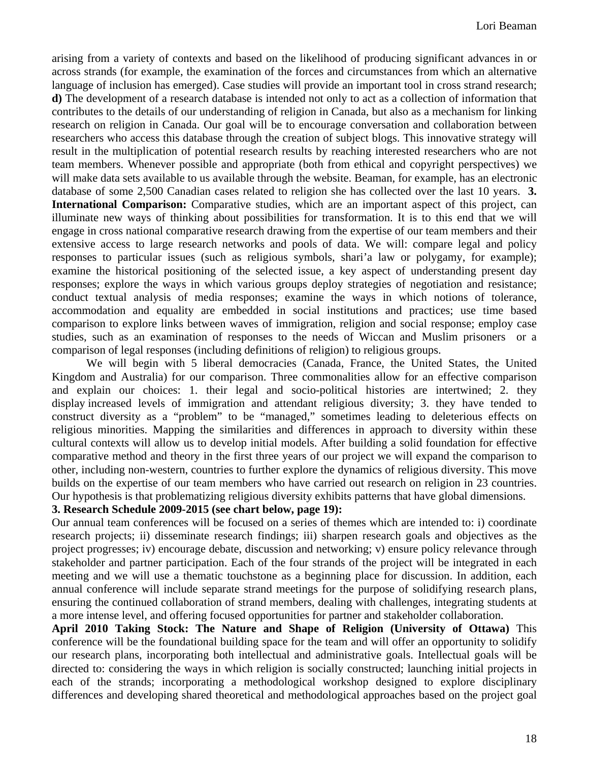arising from a variety of contexts and based on the likelihood of producing significant advances in or across strands (for example, the examination of the forces and circumstances from which an alternative language of inclusion has emerged). Case studies will provide an important tool in cross strand research; **d)** The development of a research database is intended not only to act as a collection of information that contributes to the details of our understanding of religion in Canada, but also as a mechanism for linking research on religion in Canada. Our goal will be to encourage conversation and collaboration between researchers who access this database through the creation of subject blogs. This innovative strategy will result in the multiplication of potential research results by reaching interested researchers who are not team members. Whenever possible and appropriate (both from ethical and copyright perspectives) we will make data sets available to us available through the website. Beaman, for example, has an electronic database of some 2,500 Canadian cases related to religion she has collected over the last 10 years. **3. International Comparison:** Comparative studies, which are an important aspect of this project, can illuminate new ways of thinking about possibilities for transformation. It is to this end that we will engage in cross national comparative research drawing from the expertise of our team members and their extensive access to large research networks and pools of data. We will: compare legal and policy responses to particular issues (such as religious symbols, shari'a law or polygamy, for example); examine the historical positioning of the selected issue, a key aspect of understanding present day responses; explore the ways in which various groups deploy strategies of negotiation and resistance; conduct textual analysis of media responses; examine the ways in which notions of tolerance, accommodation and equality are embedded in social institutions and practices; use time based comparison to explore links between waves of immigration, religion and social response; employ case studies, such as an examination of responses to the needs of Wiccan and Muslim prisoners or a comparison of legal responses (including definitions of religion) to religious groups.

We will begin with 5 liberal democracies (Canada, France, the United States, the United Kingdom and Australia) for our comparison. Three commonalities allow for an effective comparison and explain our choices: 1. their legal and socio-political histories are intertwined; 2. they display increased levels of immigration and attendant religious diversity; 3. they have tended to construct diversity as a "problem" to be "managed," sometimes leading to deleterious effects on religious minorities. Mapping the similarities and differences in approach to diversity within these cultural contexts will allow us to develop initial models. After building a solid foundation for effective comparative method and theory in the first three years of our project we will expand the comparison to other, including non-western, countries to further explore the dynamics of religious diversity. This move builds on the expertise of our team members who have carried out research on religion in 23 countries. Our hypothesis is that problematizing religious diversity exhibits patterns that have global dimensions.

## **3. Research Schedule 2009-2015 (see chart below, page 19):**

Our annual team conferences will be focused on a series of themes which are intended to: i) coordinate research projects; ii) disseminate research findings; iii) sharpen research goals and objectives as the project progresses; iv) encourage debate, discussion and networking; v) ensure policy relevance through stakeholder and partner participation. Each of the four strands of the project will be integrated in each meeting and we will use a thematic touchstone as a beginning place for discussion. In addition, each annual conference will include separate strand meetings for the purpose of solidifying research plans, ensuring the continued collaboration of strand members, dealing with challenges, integrating students at a more intense level, and offering focused opportunities for partner and stakeholder collaboration.

**April 2010 Taking Stock: The Nature and Shape of Religion (University of Ottawa)** This conference will be the foundational building space for the team and will offer an opportunity to solidify our research plans, incorporating both intellectual and administrative goals. Intellectual goals will be directed to: considering the ways in which religion is socially constructed; launching initial projects in each of the strands; incorporating a methodological workshop designed to explore disciplinary differences and developing shared theoretical and methodological approaches based on the project goal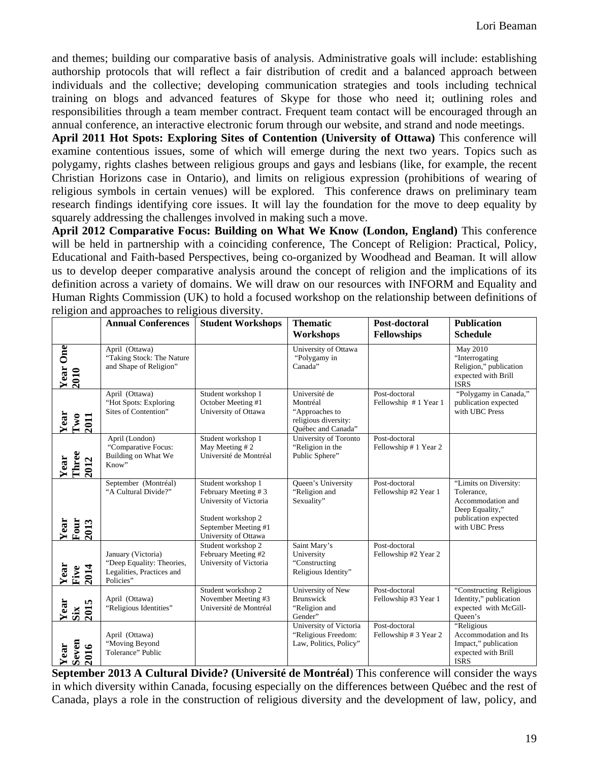and themes; building our comparative basis of analysis. Administrative goals will include: establishing authorship protocols that will reflect a fair distribution of credit and a balanced approach between individuals and the collective; developing communication strategies and tools including technical training on blogs and advanced features of Skype for those who need it; outlining roles and responsibilities through a team member contract. Frequent team contact will be encouraged through an annual conference, an interactive electronic forum through our website, and strand and node meetings.

**April 2011 Hot Spots: Exploring Sites of Contention (University of Ottawa)** This conference will examine contentious issues, some of which will emerge during the next two years. Topics such as polygamy, rights clashes between religious groups and gays and lesbians (like, for example, the recent Christian Horizons case in Ontario), and limits on religious expression (prohibitions of wearing of religious symbols in certain venues) will be explored. This conference draws on preliminary team research findings identifying core issues. It will lay the foundation for the move to deep equality by squarely addressing the challenges involved in making such a move.

**April 2012 Comparative Focus: Building on What We Know (London, England)** This conference will be held in partnership with a coinciding conference, The Concept of Religion: Practical, Policy, Educational and Faith-based Perspectives, being co-organized by Woodhead and Beaman. It will allow us to develop deeper comparative analysis around the concept of religion and the implications of its definition across a variety of domains. We will draw on our resources with INFORM and Equality and Human Rights Commission (UK) to hold a focused workshop on the relationship between definitions of religion and approaches to religious diversity.

|                       | <b>Annual Conferences</b>                                                                 | <b>Student Workshops</b>                                                                                                                  | <b>Thematic</b><br>Workshops                                                              | Post-doctoral<br><b>Fellowships</b>    | <b>Publication</b><br><b>Schedule</b>                                                                                 |
|-----------------------|-------------------------------------------------------------------------------------------|-------------------------------------------------------------------------------------------------------------------------------------------|-------------------------------------------------------------------------------------------|----------------------------------------|-----------------------------------------------------------------------------------------------------------------------|
| Year One<br>2010      | April (Ottawa)<br>"Taking Stock: The Nature<br>and Shape of Religion"                     |                                                                                                                                           | University of Ottawa<br>"Polygamy in<br>Canada"                                           |                                        | May 2010<br>"Interrogating<br>Religion," publication<br>expected with Brill<br><b>ISRS</b>                            |
| Year<br>Tw0<br>2011   | April (Ottawa)<br>"Hot Spots: Exploring<br>Sites of Contention"                           | Student workshop 1<br>October Meeting #1<br>University of Ottawa                                                                          | Université de<br>Montréal<br>"Approaches to<br>religious diversity:<br>Québec and Canada" | Post-doctoral<br>Fellowship #1 Year 1  | "Polygamy in Canada,"<br>publication expected<br>with UBC Press                                                       |
| Three<br>Year<br>2012 | April (London)<br>"Comparative Focus:<br>Building on What We<br>Know"                     | Student workshop 1<br>May Meeting #2<br>Université de Montréal                                                                            | University of Toronto<br>"Religion in the<br>Public Sphere"                               | Post-doctoral<br>Fellowship #1 Year 2  |                                                                                                                       |
| Year<br>Four<br>2013  | September (Montréal)<br>"A Cultural Divide?"                                              | Student workshop 1<br>February Meeting #3<br>University of Victoria<br>Student workshop 2<br>September Meeting #1<br>University of Ottawa | Queen's University<br>"Religion and<br>Sexuality"                                         | Post-doctoral<br>Fellowship #2 Year 1  | "Limits on Diversity:<br>Tolerance,<br>Accommodation and<br>Deep Equality,"<br>publication expected<br>with UBC Press |
| Year<br>Five<br>2014  | January (Victoria)<br>"Deep Equality: Theories,<br>Legalities, Practices and<br>Policies" | Student workshop 2<br>February Meeting #2<br>University of Victoria                                                                       | Saint Mary's<br>University<br>"Constructing<br>Religious Identity"                        | Post-doctoral<br>Fellowship #2 Year 2  |                                                                                                                       |
| 2015<br>Year<br>Six   | April (Ottawa)<br>"Religious Identities"                                                  | Student workshop 2<br>November Meeting #3<br>Université de Montréal                                                                       | University of New<br><b>Brunswick</b><br>"Religion and<br>Gender"                         | Post-doctoral<br>Fellowship #3 Year 1  | "Constructing Religious<br>Identity," publication<br>expected with McGill-<br>Queen's                                 |
| Year<br>Seven<br>2016 | April (Ottawa)<br>"Moving Beyond<br>Tolerance" Public                                     |                                                                                                                                           | University of Victoria<br>"Religious Freedom:<br>Law, Politics, Policy"                   | Post-doctoral<br>Fellowship # 3 Year 2 | "Religious<br>Accommodation and Its<br>Impact," publication<br>expected with Brill<br><b>ISRS</b>                     |

**September 2013 A Cultural Divide? (Université de Montréal**) This conference will consider the ways in which diversity within Canada, focusing especially on the differences between Québec and the rest of Canada, plays a role in the construction of religious diversity and the development of law, policy, and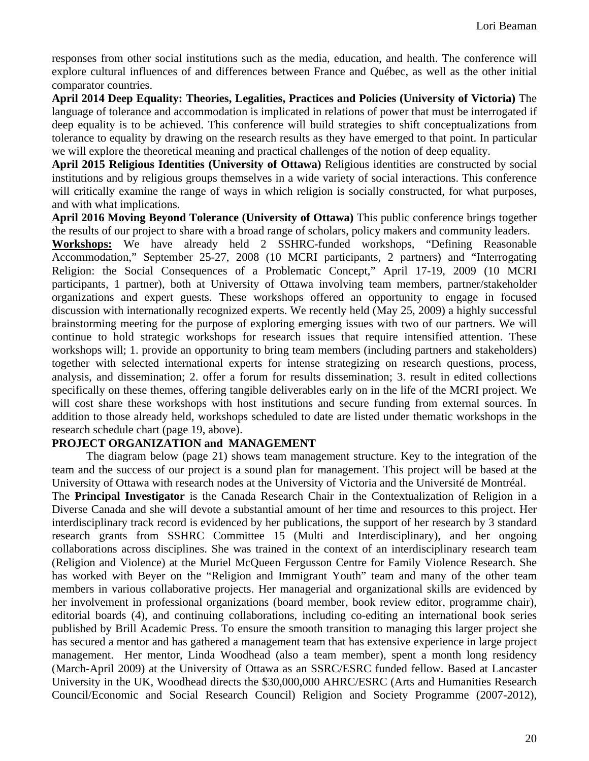responses from other social institutions such as the media, education, and health. The conference will explore cultural influences of and differences between France and Québec, as well as the other initial comparator countries.

**April 2014 Deep Equality: Theories, Legalities, Practices and Policies (University of Victoria)** The language of tolerance and accommodation is implicated in relations of power that must be interrogated if deep equality is to be achieved. This conference will build strategies to shift conceptualizations from tolerance to equality by drawing on the research results as they have emerged to that point. In particular we will explore the theoretical meaning and practical challenges of the notion of deep equality.

**April 2015 Religious Identities (University of Ottawa)** Religious identities are constructed by social institutions and by religious groups themselves in a wide variety of social interactions. This conference will critically examine the range of ways in which religion is socially constructed, for what purposes, and with what implications.

**April 2016 Moving Beyond Tolerance (University of Ottawa)** This public conference brings together the results of our project to share with a broad range of scholars, policy makers and community leaders.

**Workshops:** We have already held 2 SSHRC-funded workshops, "Defining Reasonable Accommodation," September 25-27, 2008 (10 MCRI participants, 2 partners) and "Interrogating Religion: the Social Consequences of a Problematic Concept," April 17-19, 2009 (10 MCRI participants, 1 partner), both at University of Ottawa involving team members, partner/stakeholder organizations and expert guests. These workshops offered an opportunity to engage in focused discussion with internationally recognized experts. We recently held (May 25, 2009) a highly successful brainstorming meeting for the purpose of exploring emerging issues with two of our partners. We will continue to hold strategic workshops for research issues that require intensified attention. These workshops will; 1. provide an opportunity to bring team members (including partners and stakeholders) together with selected international experts for intense strategizing on research questions, process, analysis, and dissemination; 2. offer a forum for results dissemination; 3. result in edited collections specifically on these themes, offering tangible deliverables early on in the life of the MCRI project. We will cost share these workshops with host institutions and secure funding from external sources. In addition to those already held, workshops scheduled to date are listed under thematic workshops in the research schedule chart (page 19, above).

### **PROJECT ORGANIZATION and MANAGEMENT**

The diagram below (page 21) shows team management structure. Key to the integration of the team and the success of our project is a sound plan for management. This project will be based at the University of Ottawa with research nodes at the University of Victoria and the Université de Montréal.

The **Principal Investigator** is the Canada Research Chair in the Contextualization of Religion in a Diverse Canada and she will devote a substantial amount of her time and resources to this project. Her interdisciplinary track record is evidenced by her publications, the support of her research by 3 standard research grants from SSHRC Committee 15 (Multi and Interdisciplinary), and her ongoing collaborations across disciplines. She was trained in the context of an interdisciplinary research team (Religion and Violence) at the Muriel McQueen Fergusson Centre for Family Violence Research. She has worked with Beyer on the "Religion and Immigrant Youth" team and many of the other team members in various collaborative projects. Her managerial and organizational skills are evidenced by her involvement in professional organizations (board member, book review editor, programme chair), editorial boards (4), and continuing collaborations, including co-editing an international book series published by Brill Academic Press. To ensure the smooth transition to managing this larger project she has secured a mentor and has gathered a management team that has extensive experience in large project management. Her mentor, Linda Woodhead (also a team member), spent a month long residency (March-April 2009) at the University of Ottawa as an SSRC/ESRC funded fellow. Based at Lancaster University in the UK, Woodhead directs the \$30,000,000 AHRC/ESRC (Arts and Humanities Research Council/Economic and Social Research Council) Religion and Society Programme (2007-2012),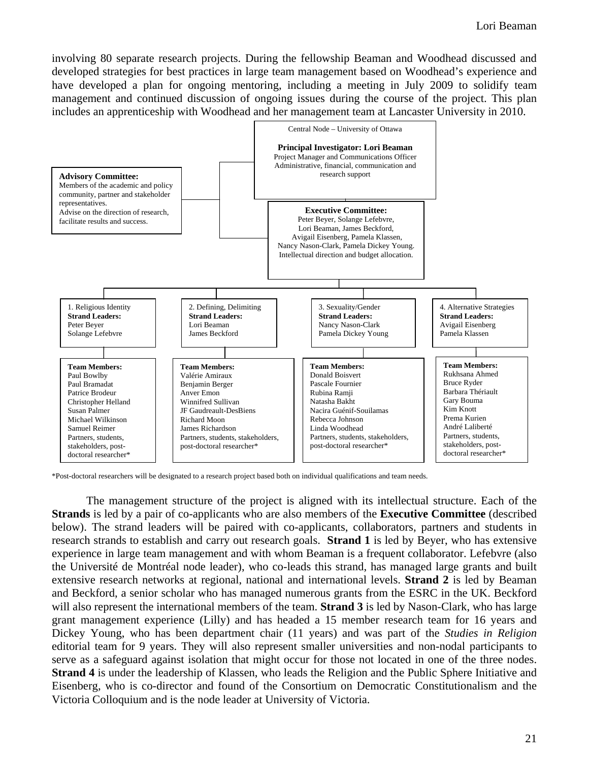involving 80 separate research projects. During the fellowship Beaman and Woodhead discussed and developed strategies for best practices in large team management based on Woodhead's experience and have developed a plan for ongoing mentoring, including a meeting in July 2009 to solidify team management and continued discussion of ongoing issues during the course of the project. This plan includes an apprenticeship with Woodhead and her management team at Lancaster University in 2010.



\*Post-doctoral researchers will be designated to a research project based both on individual qualifications and team needs.

The management structure of the project is aligned with its intellectual structure. Each of the **Strands** is led by a pair of co-applicants who are also members of the **Executive Committee** (described below). The strand leaders will be paired with co-applicants, collaborators, partners and students in research strands to establish and carry out research goals. **Strand 1** is led by Beyer, who has extensive experience in large team management and with whom Beaman is a frequent collaborator. Lefebvre (also the Université de Montréal node leader), who co-leads this strand, has managed large grants and built extensive research networks at regional, national and international levels. **Strand 2** is led by Beaman and Beckford, a senior scholar who has managed numerous grants from the ESRC in the UK. Beckford will also represent the international members of the team. **Strand 3** is led by Nason-Clark, who has large grant management experience (Lilly) and has headed a 15 member research team for 16 years and Dickey Young, who has been department chair (11 years) and was part of the *Studies in Religion* editorial team for 9 years. They will also represent smaller universities and non-nodal participants to serve as a safeguard against isolation that might occur for those not located in one of the three nodes. **Strand 4** is under the leadership of Klassen, who leads the Religion and the Public Sphere Initiative and Eisenberg, who is co-director and found of the Consortium on Democratic Constitutionalism and the Victoria Colloquium and is the node leader at University of Victoria.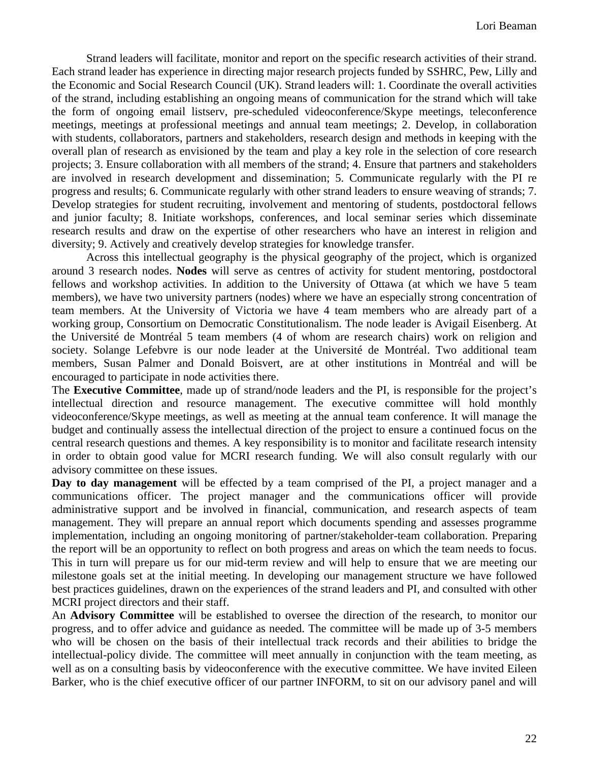Strand leaders will facilitate, monitor and report on the specific research activities of their strand. Each strand leader has experience in directing major research projects funded by SSHRC, Pew, Lilly and the Economic and Social Research Council (UK). Strand leaders will: 1. Coordinate the overall activities of the strand, including establishing an ongoing means of communication for the strand which will take the form of ongoing email listserv, pre-scheduled videoconference/Skype meetings, teleconference meetings, meetings at professional meetings and annual team meetings; 2. Develop, in collaboration with students, collaborators, partners and stakeholders, research design and methods in keeping with the overall plan of research as envisioned by the team and play a key role in the selection of core research projects; 3. Ensure collaboration with all members of the strand; 4. Ensure that partners and stakeholders are involved in research development and dissemination; 5. Communicate regularly with the PI re progress and results; 6. Communicate regularly with other strand leaders to ensure weaving of strands; 7. Develop strategies for student recruiting, involvement and mentoring of students, postdoctoral fellows and junior faculty; 8. Initiate workshops, conferences, and local seminar series which disseminate research results and draw on the expertise of other researchers who have an interest in religion and diversity; 9. Actively and creatively develop strategies for knowledge transfer.

Across this intellectual geography is the physical geography of the project, which is organized around 3 research nodes. **Nodes** will serve as centres of activity for student mentoring, postdoctoral fellows and workshop activities. In addition to the University of Ottawa (at which we have 5 team members), we have two university partners (nodes) where we have an especially strong concentration of team members. At the University of Victoria we have 4 team members who are already part of a working group, Consortium on Democratic Constitutionalism. The node leader is Avigail Eisenberg. At the Université de Montréal 5 team members (4 of whom are research chairs) work on religion and society. Solange Lefebvre is our node leader at the Université de Montréal. Two additional team members, Susan Palmer and Donald Boisvert, are at other institutions in Montréal and will be encouraged to participate in node activities there.

The **Executive Committee**, made up of strand/node leaders and the PI, is responsible for the project's intellectual direction and resource management. The executive committee will hold monthly videoconference/Skype meetings, as well as meeting at the annual team conference. It will manage the budget and continually assess the intellectual direction of the project to ensure a continued focus on the central research questions and themes. A key responsibility is to monitor and facilitate research intensity in order to obtain good value for MCRI research funding. We will also consult regularly with our advisory committee on these issues.

**Day to day management** will be effected by a team comprised of the PI, a project manager and a communications officer. The project manager and the communications officer will provide administrative support and be involved in financial, communication, and research aspects of team management. They will prepare an annual report which documents spending and assesses programme implementation, including an ongoing monitoring of partner/stakeholder-team collaboration. Preparing the report will be an opportunity to reflect on both progress and areas on which the team needs to focus. This in turn will prepare us for our mid-term review and will help to ensure that we are meeting our milestone goals set at the initial meeting. In developing our management structure we have followed best practices guidelines, drawn on the experiences of the strand leaders and PI, and consulted with other MCRI project directors and their staff.

An **Advisory Committee** will be established to oversee the direction of the research, to monitor our progress, and to offer advice and guidance as needed. The committee will be made up of 3-5 members who will be chosen on the basis of their intellectual track records and their abilities to bridge the intellectual-policy divide. The committee will meet annually in conjunction with the team meeting, as well as on a consulting basis by videoconference with the executive committee. We have invited Eileen Barker, who is the chief executive officer of our partner INFORM, to sit on our advisory panel and will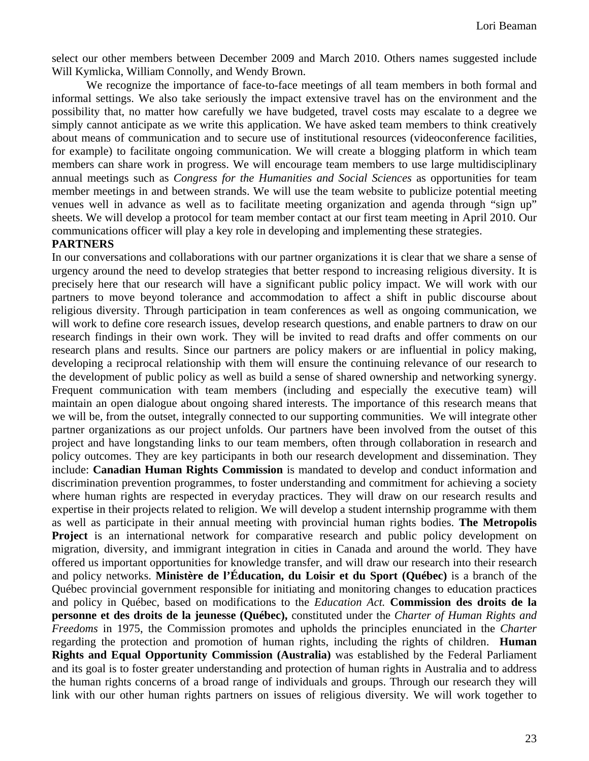select our other members between December 2009 and March 2010. Others names suggested include Will Kymlicka, William Connolly, and Wendy Brown.

We recognize the importance of face-to-face meetings of all team members in both formal and informal settings. We also take seriously the impact extensive travel has on the environment and the possibility that, no matter how carefully we have budgeted, travel costs may escalate to a degree we simply cannot anticipate as we write this application. We have asked team members to think creatively about means of communication and to secure use of institutional resources (videoconference facilities, for example) to facilitate ongoing communication. We will create a blogging platform in which team members can share work in progress. We will encourage team members to use large multidisciplinary annual meetings such as *Congress for the Humanities and Social Sciences* as opportunities for team member meetings in and between strands. We will use the team website to publicize potential meeting venues well in advance as well as to facilitate meeting organization and agenda through "sign up" sheets. We will develop a protocol for team member contact at our first team meeting in April 2010. Our communications officer will play a key role in developing and implementing these strategies.

#### **PARTNERS**

In our conversations and collaborations with our partner organizations it is clear that we share a sense of urgency around the need to develop strategies that better respond to increasing religious diversity. It is precisely here that our research will have a significant public policy impact. We will work with our partners to move beyond tolerance and accommodation to affect a shift in public discourse about religious diversity. Through participation in team conferences as well as ongoing communication, we will work to define core research issues, develop research questions, and enable partners to draw on our research findings in their own work. They will be invited to read drafts and offer comments on our research plans and results. Since our partners are policy makers or are influential in policy making, developing a reciprocal relationship with them will ensure the continuing relevance of our research to the development of public policy as well as build a sense of shared ownership and networking synergy. Frequent communication with team members (including and especially the executive team) will maintain an open dialogue about ongoing shared interests. The importance of this research means that we will be, from the outset, integrally connected to our supporting communities. We will integrate other partner organizations as our project unfolds. Our partners have been involved from the outset of this project and have longstanding links to our team members, often through collaboration in research and policy outcomes. They are key participants in both our research development and dissemination. They include: **Canadian Human Rights Commission** is mandated to develop and conduct information and discrimination prevention programmes, to foster understanding and commitment for achieving a society where human rights are respected in everyday practices. They will draw on our research results and expertise in their projects related to religion. We will develop a student internship programme with them as well as participate in their annual meeting with provincial human rights bodies. **The Metropolis Project** is an international network for comparative research and public policy development on migration, diversity, and immigrant integration in cities in Canada and around the world. They have offered us important opportunities for knowledge transfer, and will draw our research into their research and policy networks. **Ministère de l'Éducation, du Loisir et du Sport (Québec)** is a branch of the Québec provincial government responsible for initiating and monitoring changes to education practices and policy in Québec, based on modifications to the *Education Act.* **Commission des droits de la personne et des droits de la jeunesse (Québec),** constituted under the *Charter of Human Rights and Freedoms* in 1975, the Commission promotes and upholds the principles enunciated in the *Charter* regarding the protection and promotion of human rights, including the rights of children. **Human Rights and Equal Opportunity Commission (Australia)** was established by the Federal Parliament and its goal is to foster greater understanding and protection of human rights in Australia and to address the human rights concerns of a broad range of individuals and groups. Through our research they will link with our other human rights partners on issues of religious diversity. We will work together to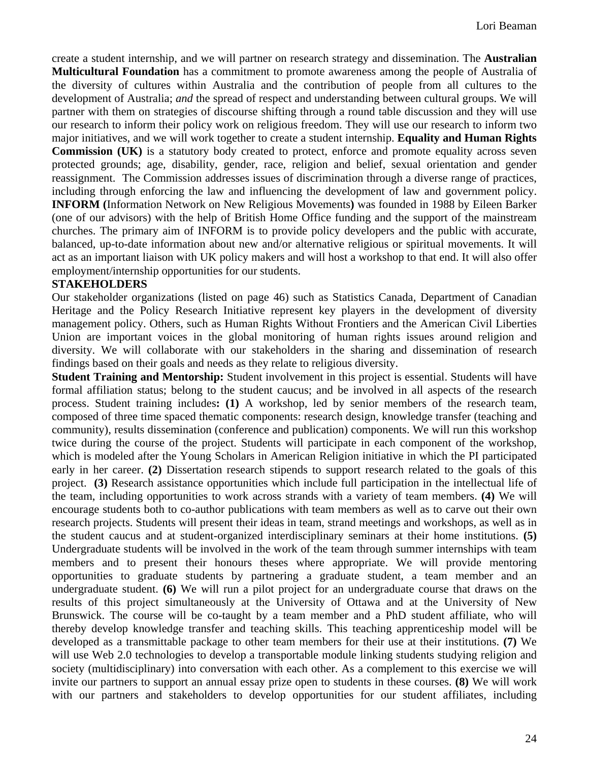create a student internship, and we will partner on research strategy and dissemination. The **Australian Multicultural Foundation** has a commitment to promote awareness among the people of Australia of the diversity of cultures within Australia and the contribution of people from all cultures to the development of Australia; *and* the spread of respect and understanding between cultural groups. We will partner with them on strategies of discourse shifting through a round table discussion and they will use our research to inform their policy work on religious freedom. They will use our research to inform two major initiatives, and we will work together to create a student internship. **Equality and Human Rights Commission (UK)** is a statutory body created to protect, enforce and promote equality across seven protected grounds; age, disability, gender, race, religion and belief, sexual orientation and gender reassignment. The Commission addresses issues of discrimination through a diverse range of practices, including through enforcing the law and influencing the development of law and government policy. **INFORM (**Information Network on New Religious Movements**)** was founded in 1988 by Eileen Barker (one of our advisors) with the help of British Home Office funding and the support of the mainstream churches. The primary aim of INFORM is to provide policy developers and the public with accurate, balanced, up-to-date information about new and/or alternative religious or spiritual movements. It will act as an important liaison with UK policy makers and will host a workshop to that end. It will also offer employment/internship opportunities for our students.

### **STAKEHOLDERS**

Our stakeholder organizations (listed on page 46) such as Statistics Canada, Department of Canadian Heritage and the Policy Research Initiative represent key players in the development of diversity management policy. Others, such as Human Rights Without Frontiers and the American Civil Liberties Union are important voices in the global monitoring of human rights issues around religion and diversity. We will collaborate with our stakeholders in the sharing and dissemination of research findings based on their goals and needs as they relate to religious diversity.

**Student Training and Mentorship:** Student involvement in this project is essential. Students will have formal affiliation status; belong to the student caucus; and be involved in all aspects of the research process. Student training includes**: (1)** A workshop, led by senior members of the research team, composed of three time spaced thematic components: research design, knowledge transfer (teaching and community), results dissemination (conference and publication) components. We will run this workshop twice during the course of the project. Students will participate in each component of the workshop, which is modeled after the Young Scholars in American Religion initiative in which the PI participated early in her career. **(2)** Dissertation research stipends to support research related to the goals of this project. **(3)** Research assistance opportunities which include full participation in the intellectual life of the team, including opportunities to work across strands with a variety of team members. **(4)** We will encourage students both to co-author publications with team members as well as to carve out their own research projects. Students will present their ideas in team, strand meetings and workshops, as well as in the student caucus and at student-organized interdisciplinary seminars at their home institutions. **(5)** Undergraduate students will be involved in the work of the team through summer internships with team members and to present their honours theses where appropriate. We will provide mentoring opportunities to graduate students by partnering a graduate student, a team member and an undergraduate student. **(6)** We will run a pilot project for an undergraduate course that draws on the results of this project simultaneously at the University of Ottawa and at the University of New Brunswick. The course will be co-taught by a team member and a PhD student affiliate, who will thereby develop knowledge transfer and teaching skills. This teaching apprenticeship model will be developed as a transmittable package to other team members for their use at their institutions. **(7)** We will use Web 2.0 technologies to develop a transportable module linking students studying religion and society (multidisciplinary) into conversation with each other. As a complement to this exercise we will invite our partners to support an annual essay prize open to students in these courses. **(8)** We will work with our partners and stakeholders to develop opportunities for our student affiliates, including